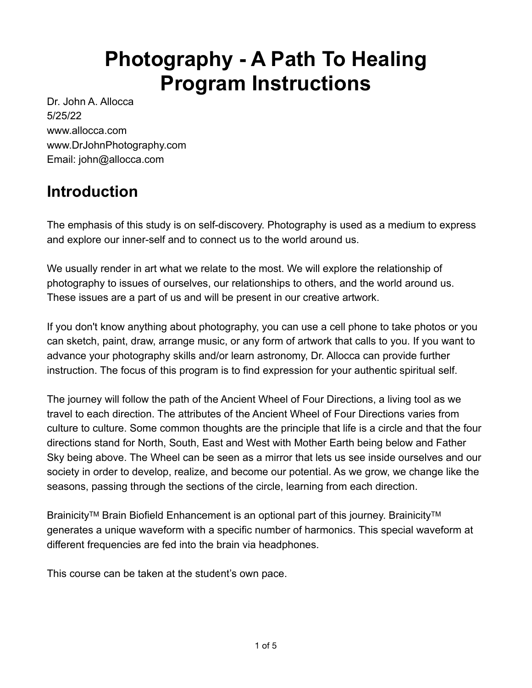# **Photography - A Path To Healing Program Instructions**

Dr. John A. Allocca 5/25/22 www.allocca.com www.DrJohnPhotography.com Email: john@allocca.com

# **Introduction**

The emphasis of this study is on self-discovery. Photography is used as a medium to express and explore our inner-self and to connect us to the world around us.

We usually render in art what we relate to the most. We will explore the relationship of photography to issues of ourselves, our relationships to others, and the world around us. These issues are a part of us and will be present in our creative artwork.

If you don't know anything about photography, you can use a cell phone to take photos or you can sketch, paint, draw, arrange music, or any form of artwork that calls to you. If you want to advance your photography skills and/or learn astronomy, Dr. Allocca can provide further instruction. The focus of this program is to find expression for your authentic spiritual self.

The journey will follow the path of the Ancient Wheel of Four Directions, a living tool as we travel to each direction. The attributes of the Ancient Wheel of Four Directions varies from culture to culture. Some common thoughts are the principle that life is a circle and that the four directions stand for North, South, East and West with Mother Earth being below and Father Sky being above. The Wheel can be seen as a mirror that lets us see inside ourselves and our society in order to develop, realize, and become our potential. As we grow, we change like the seasons, passing through the sections of the circle, learning from each direction.

Brainicity™ Brain Biofield Enhancement is an optional part of this journey. Brainicity™ generates a unique waveform with a specific number of harmonics. This special waveform at different frequencies are fed into the brain via headphones.

This course can be taken at the student's own pace.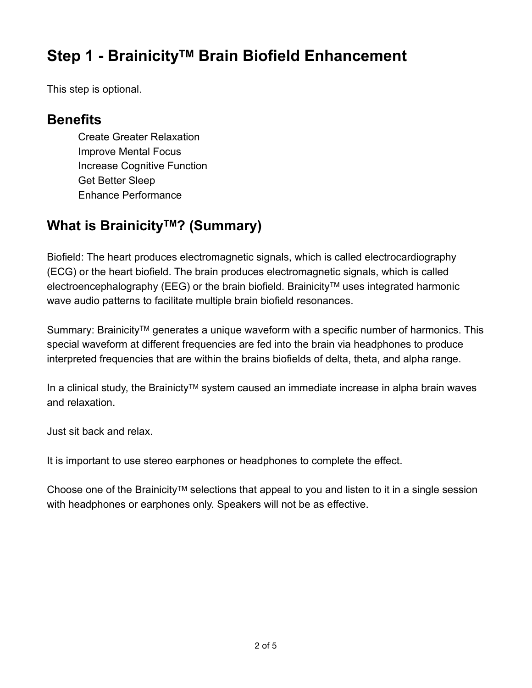# **Step 1 - BrainicityTM Brain Biofield Enhancement**

This step is optional.

#### **Benefits**

Create Greater Relaxation Improve Mental Focus Increase Cognitive Function Get Better Sleep Enhance Performance

#### **What is Brainicity™? (Summary)**

Biofield: The heart produces electromagnetic signals, which is called electrocardiography (ECG) or the heart biofield. The brain produces electromagnetic signals, which is called electroencephalography (EEG) or the brain biofield. Brainicity™ uses integrated harmonic wave audio patterns to facilitate multiple brain biofield resonances.

Summary: Brainicity™ generates a unique waveform with a specific number of harmonics. This special waveform at different frequencies are fed into the brain via headphones to produce interpreted frequencies that are within the brains biofields of delta, theta, and alpha range.

In a clinical study, the BrainictyTM system caused an immediate increase in alpha brain waves and relaxation.

Just sit back and relax.

It is important to use stereo earphones or headphones to complete the effect.

Choose one of the Brainicity™ selections that appeal to you and listen to it in a single session with headphones or earphones only. Speakers will not be as effective.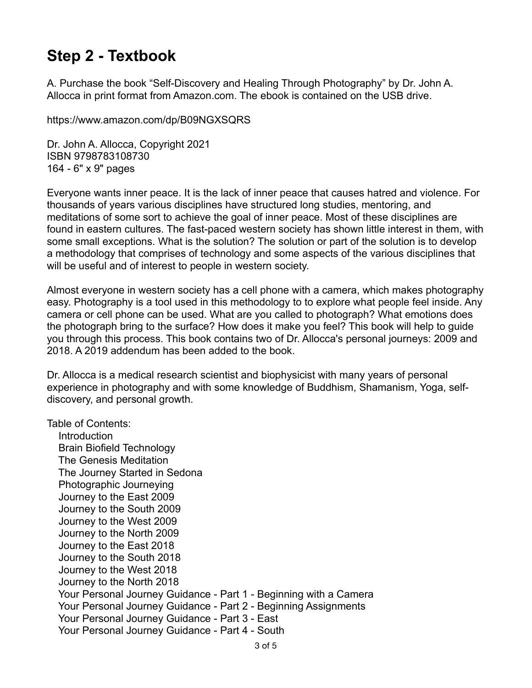## **Step 2 - Textbook**

A. Purchase the book "Self-Discovery and Healing Through Photography" by Dr. John A. Allocca in print format from Amazon.com. The ebook is contained on the USB drive.

https://www.amazon.com/dp/B09NGXSQRS

Dr. John A. Allocca, Copyright 2021 ISBN 9798783108730 164 - 6" x 9" pages

Everyone wants inner peace. It is the lack of inner peace that causes hatred and violence. For thousands of years various disciplines have structured long studies, mentoring, and meditations of some sort to achieve the goal of inner peace. Most of these disciplines are found in eastern cultures. The fast-paced western society has shown little interest in them, with some small exceptions. What is the solution? The solution or part of the solution is to develop a methodology that comprises of technology and some aspects of the various disciplines that will be useful and of interest to people in western society.

Almost everyone in western society has a cell phone with a camera, which makes photography easy. Photography is a tool used in this methodology to to explore what people feel inside. Any camera or cell phone can be used. What are you called to photograph? What emotions does the photograph bring to the surface? How does it make you feel? This book will help to guide you through this process. This book contains two of Dr. Allocca's personal journeys: 2009 and 2018. A 2019 addendum has been added to the book.

Dr. Allocca is a medical research scientist and biophysicist with many years of personal experience in photography and with some knowledge of Buddhism, Shamanism, Yoga, selfdiscovery, and personal growth.

Table of Contents:

 Introduction Brain Biofield Technology The Genesis Meditation The Journey Started in Sedona Photographic Journeying Journey to the East 2009 Journey to the South 2009 Journey to the West 2009 Journey to the North 2009 Journey to the East 2018 Journey to the South 2018 Journey to the West 2018 Journey to the North 2018 Your Personal Journey Guidance - Part 1 - Beginning with a Camera Your Personal Journey Guidance - Part 2 - Beginning Assignments Your Personal Journey Guidance - Part 3 - East Your Personal Journey Guidance - Part 4 - South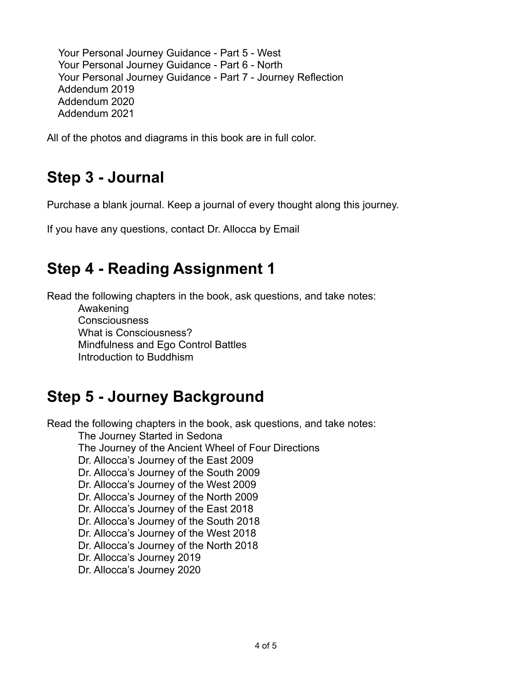Your Personal Journey Guidance - Part 5 - West Your Personal Journey Guidance - Part 6 - North Your Personal Journey Guidance - Part 7 - Journey Reflection Addendum 2019 Addendum 2020 Addendum 2021

All of the photos and diagrams in this book are in full color.

# **Step 3 - Journal**

Purchase a blank journal. Keep a journal of every thought along this journey.

If you have any questions, contact Dr. Allocca by Email

# **Step 4 - Reading Assignment 1**

Read the following chapters in the book, ask questions, and take notes:

Awakening **Consciousness** What is Consciousness? Mindfulness and Ego Control Battles Introduction to Buddhism

## **Step 5 - Journey Background**

Read the following chapters in the book, ask questions, and take notes:

The Journey Started in Sedona

The Journey of the Ancient Wheel of Four Directions

Dr. Allocca's Journey of the East 2009

Dr. Allocca's Journey of the South 2009

Dr. Allocca's Journey of the West 2009

Dr. Allocca's Journey of the North 2009

Dr. Allocca's Journey of the East 2018

Dr. Allocca's Journey of the South 2018

Dr. Allocca's Journey of the West 2018

Dr. Allocca's Journey of the North 2018

Dr. Allocca's Journey 2019

Dr. Allocca's Journey 2020